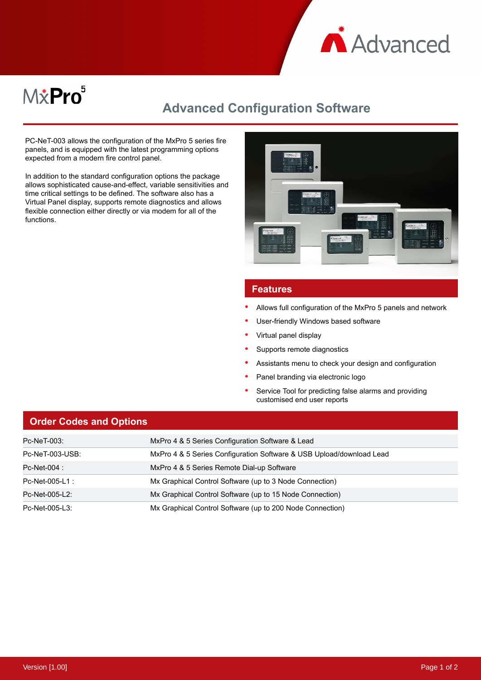

# M&Pro<sup>5</sup>

# **Advanced Configuration Software**

PC-NeT-003 allows the configuration of the MxPro 5 series fire panels, and is equipped with the latest programming options expected from a modern fire control panel.

In addition to the standard configuration options the package allows sophisticated cause-and-effect, variable sensitivities and time critical settings to be defined. The software also has a Virtual Panel display, supports remote diagnostics and allows flexible connection either directly or via modem for all of the functions.



### **Features**

- Allows full configuration of the MxPro 5 panels and network
- User-friendly Windows based software
- Virtual panel display
- Supports remote diagnostics
- Assistants menu to check your design and configuration
- Panel branding via electronic logo
- Service Tool for predicting false alarms and providing customised end user reports

# **Order Codes and Options**

| Pc-NeT-003:     | MxPro 4 & 5 Series Configuration Software & Lead                     |
|-----------------|----------------------------------------------------------------------|
| Pc-NeT-003-USB: | MxPro 4 & 5 Series Configuration Software & USB Upload/download Lead |
| Pc-Net-004 :    | MxPro 4 & 5 Series Remote Dial-up Software                           |
| Pc-Net-005-L1 : | Mx Graphical Control Software (up to 3 Node Connection)              |
| Pc-Net-005-L2:  | Mx Graphical Control Software (up to 15 Node Connection)             |
| Pc-Net-005-L3:  | Mx Graphical Control Software (up to 200 Node Connection)            |